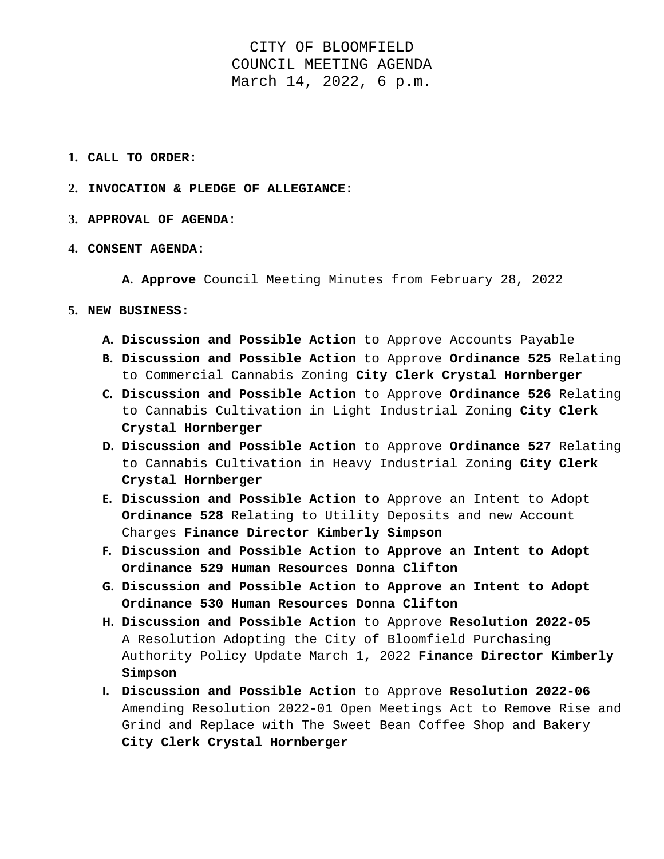CITY OF BLOOMFIELD COUNCIL MEETING AGENDA March 14, 2022, 6 p.m.

- **1. CALL TO ORDER:**
- **2. INVOCATION & PLEDGE OF ALLEGIANCE:**
- **3. APPROVAL OF AGENDA**:
- **4. CONSENT AGENDA:**

**A. Approve** Council Meeting Minutes from February 28, 2022

- **5. NEW BUSINESS:** 
	- **A. Discussion and Possible Action** to Approve Accounts Payable
	- **B. Discussion and Possible Action** to Approve **Ordinance 525** Relating to Commercial Cannabis Zoning **City Clerk Crystal Hornberger**
	- **C. Discussion and Possible Action** to Approve **Ordinance 526** Relating to Cannabis Cultivation in Light Industrial Zoning **City Clerk Crystal Hornberger**
	- **D. Discussion and Possible Action** to Approve **Ordinance 527** Relating to Cannabis Cultivation in Heavy Industrial Zoning **City Clerk Crystal Hornberger**
	- **E. Discussion and Possible Action to** Approve an Intent to Adopt **Ordinance 528** Relating to Utility Deposits and new Account Charges **Finance Director Kimberly Simpson**
	- **F. Discussion and Possible Action to Approve an Intent to Adopt Ordinance 529 Human Resources Donna Clifton**
	- **G. Discussion and Possible Action to Approve an Intent to Adopt Ordinance 530 Human Resources Donna Clifton**
	- **H. Discussion and Possible Action** to Approve **Resolution 2022-05**  A Resolution Adopting the City of Bloomfield Purchasing Authority Policy Update March 1, 2022 **Finance Director Kimberly Simpson**
	- **I. Discussion and Possible Action** to Approve **Resolution 2022-06** Amending Resolution 2022-01 Open Meetings Act to Remove Rise and Grind and Replace with The Sweet Bean Coffee Shop and Bakery **City Clerk Crystal Hornberger**